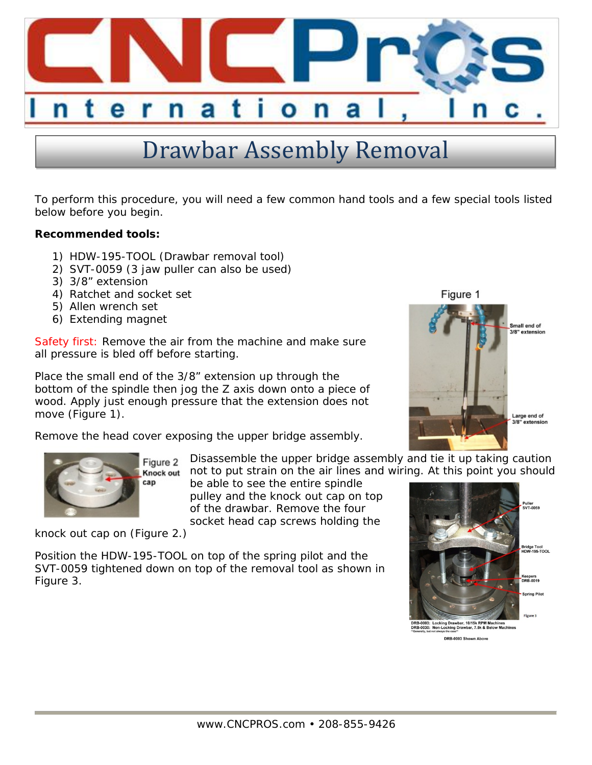

## Drawbar Assembly Removal

To perform this procedure, you will need a few common hand tools and a few special tools listed below before you begin.

**Recommended tools:**

- 1) HDW-195-TOOL (Drawbar removal tool)
- 2) SVT-0059 (3 jaw puller can also be used)
- 3) 3/8" extension
- 4) Ratchet and socket set
- 5) Allen wrench set
- 6) Extending magnet

Safety first: Remove the air from the machine and make sure all pressure is bled off before starting.

Place the small end of the 3/8" extension up through the bottom of the spindle then jog the Z axis down onto a piece of wood. Apply just enough pressure that the extension does not move (Figure 1).

Remove the head cover exposing the upper bridge assembly.



Figure 2 Knock out cap

Disassemble the upper bridge assembly and tie it up taking caution not to put strain on the air lines and wiring. At this point you should

be able to see the entire spindle pulley and the knock out cap on top of the drawbar. Remove the four socket head cap screws holding the

knock out cap on (Figure 2.)

Position the HDW-195-TOOL on top of the spring pilot and the SVT-0059 tightened down on top of the removal tool as shown in Figure 3.